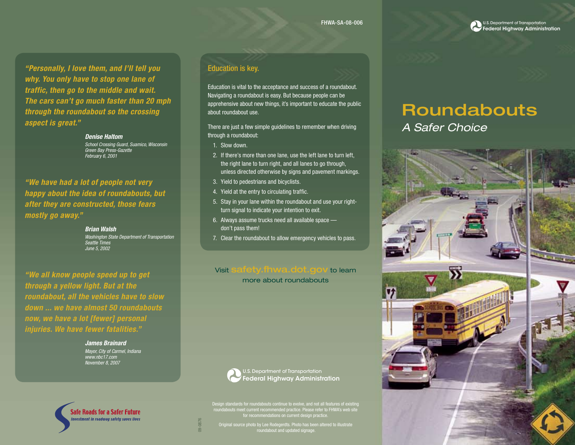U.S. Department of Transportation Federal Highway Administration

*"Personally, I love them, and I'll tell you why. You only have to stop one lane of traffic, then go to the middle and wait. The cars can't go much faster than 20 mph through the roundabout so the crossing aspect is great."* 

> *Denise Haltom School Crossing Guard, Suamico, Wisconsin Green Bay Press-Gazette February 6, 2001*

*"We have had a lot of people not very happy about the idea of roundabouts, but after they are constructed, those fears mostly go away."*

> *Brian Walsh Washington State Department of Transportation Seattle Times June 5, 2002*

*"We all know people speed up to get through a yellow light. But at the roundabout, all the vehicles have to slow down ... we have almost 50 roundabouts now, we have a lot [fewer] personal injuries. We have fewer fatalities."*

> *James Brainard Mayor, City of Carmel, Indiana www.nbc17.com November 8, 2007*

Safe Roads for a Safer Future nvestment in roadway safety saves lives

### Education is key.

Education is vital to the acceptance and success of a roundabout. Navigating a roundabout is easy. But because people can be apprehensive about new things, it's important to educate the public about roundabout use.

There are just a few simple guidelines to remember when driving through a roundabout:

- 1. Slow down.
- 2. If there's more than one lane, use the left lane to turn left, the right lane to turn right, and all lanes to go through, unless directed otherwise by signs and pavement markings.
- 3. Yield to pedestrians and bicyclists.
- 4. Yield at the entry to circulating traffic.
- 5. Stay in your lane within the roundabout and use your rightturn signal to indicate your intention to exit.
- 6. Always assume trucks need all available space don't pass them!
- 7. Clear the roundabout to allow emergency vehicles to pass.

#### Visit safety.fhwa.dot.gov to learn

more about roundabouts



U.S. Department of Transportation Federal Highway Administration

roundabouts meet current recommended practice. Please refer to FHWA's web site for recommendations on current design practice.

Original source photo by Lee Rodegerdts. Photo has been altered to illustrate roundabout and updated signage.

# Roundabouts

*A Safer Choice*